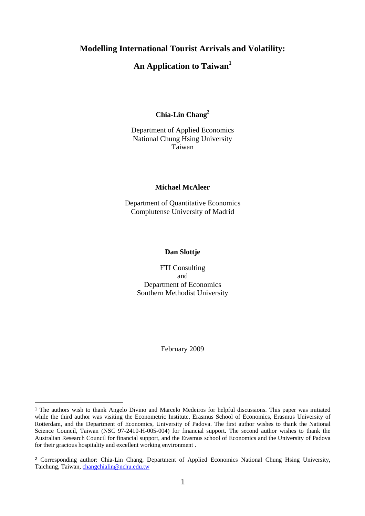## **Modelling International Tourist Arrivals and Volatility:**

# **An Application to Taiwan<sup>1</sup>**

## **Chia-Lin Chang<sup>2</sup>**

## Department of Applied Economics National Chung Hsing University Taiwan

#### **Michael McAleer**

Department of Quantitative Economics Complutense University of Madrid

## **Dan Slottje**

FTI Consulting and Department of Economics Southern Methodist University

February 2009

<sup>1</sup> The authors wish to thank Angelo Divino and Marcelo Medeiros for helpful discussions. This paper was initiated while the third author was visiting the Econometric Institute, Erasmus School of Economics, Erasmus University of Rotterdam, and the Department of Economics, University of Padova. The first author wishes to thank the National Science Council, Taiwan (NSC 97-2410-H-005-004) for financial support. The second author wishes to thank the Australian Research Council for financial support, and the Erasmus school of Economics and the University of Padova for their gracious hospitality and excellent working environment .

<sup>2</sup> Corresponding author: Chia-Lin Chang, Department of Applied Economics National Chung Hsing University, Taichung, Taiwan, changchialin@nchu.edu.tw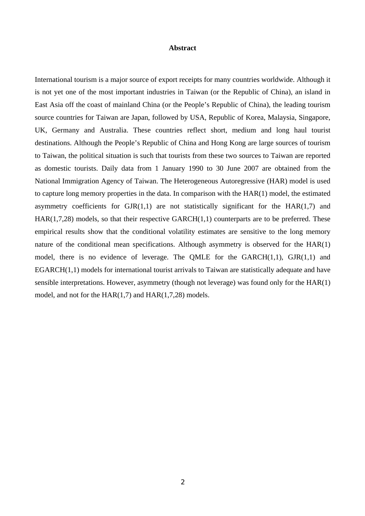### **Abstract**

International tourism is a major source of export receipts for many countries worldwide. Although it is not yet one of the most important industries in Taiwan (or the Republic of China), an island in East Asia off the coast of mainland China (or the People's Republic of China), the leading tourism source countries for Taiwan are Japan, followed by USA, Republic of Korea, Malaysia, Singapore, UK, Germany and Australia. These countries reflect short, medium and long haul tourist destinations. Although the People's Republic of China and Hong Kong are large sources of tourism to Taiwan, the political situation is such that tourists from these two sources to Taiwan are reported as domestic tourists. Daily data from 1 January 1990 to 30 June 2007 are obtained from the National Immigration Agency of Taiwan. The Heterogeneous Autoregressive (HAR) model is used to capture long memory properties in the data. In comparison with the HAR(1) model, the estimated asymmetry coefficients for  $GIR(1,1)$  are not statistically significant for the  $HAR(1,7)$  and  $HAR(1,7,28)$  models, so that their respective  $GARCH(1,1)$  counterparts are to be preferred. These empirical results show that the conditional volatility estimates are sensitive to the long memory nature of the conditional mean specifications. Although asymmetry is observed for the HAR(1) model, there is no evidence of leverage. The QMLE for the  $GARCH(1,1)$ ,  $GJR(1,1)$  and EGARCH(1,1) models for international tourist arrivals to Taiwan are statistically adequate and have sensible interpretations. However, asymmetry (though not leverage) was found only for the HAR(1) model, and not for the HAR(1,7) and HAR(1,7,28) models.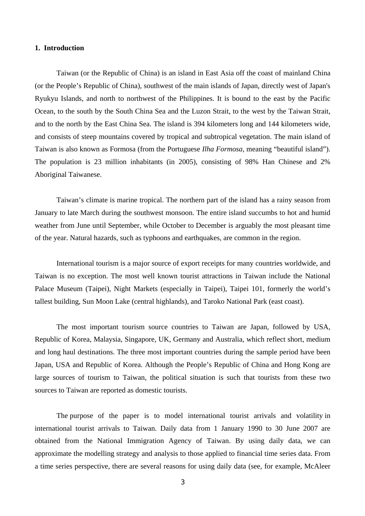## **1. Introduction**

Taiwan (or the Republic of China) is an island in East Asia off the coast of mainland China (or the People's Republic of China), southwest of the main islands of Japan, directly west of Japan's Ryukyu Islands, and north to northwest of the Philippines. It is bound to the east by the Pacific Ocean, to the south by the South China Sea and the Luzon Strait, to the west by the Taiwan Strait, and to the north by the East China Sea. The island is 394 kilometers long and 144 kilometers wide, and consists of steep mountains covered by tropical and subtropical vegetation. The main island of Taiwan is also known as Formosa (from the Portuguese *Ilha Formosa*, meaning "beautiful island"). The population is 23 million inhabitants (in 2005), consisting of 98% Han Chinese and 2% Aboriginal Taiwanese.

Taiwan's climate is marine tropical. The northern part of the island has a rainy season from January to late March during the southwest monsoon. The entire island succumbs to hot and humid weather from June until September, while October to December is arguably the most pleasant time of the year. Natural hazards, such as typhoons and earthquakes, are common in the region.

International tourism is a major source of export receipts for many countries worldwide, and Taiwan is no exception. The most well known tourist attractions in Taiwan include the National Palace Museum (Taipei), Night Markets (especially in Taipei), Taipei 101, formerly the world's tallest building, Sun Moon Lake (central highlands), and Taroko National Park (east coast).

The most important tourism source countries to Taiwan are Japan, followed by USA, Republic of Korea, Malaysia, Singapore, UK, Germany and Australia, which reflect short, medium and long haul destinations. The three most important countries during the sample period have been Japan, USA and Republic of Korea. Although the People's Republic of China and Hong Kong are large sources of tourism to Taiwan, the political situation is such that tourists from these two sources to Taiwan are reported as domestic tourists.

The purpose of the paper is to model international tourist arrivals and volatility in international tourist arrivals to Taiwan. Daily data from 1 January 1990 to 30 June 2007 are obtained from the National Immigration Agency of Taiwan. By using daily data, we can approximate the modelling strategy and analysis to those applied to financial time series data. From a time series perspective, there are several reasons for using daily data (see, for example, McAleer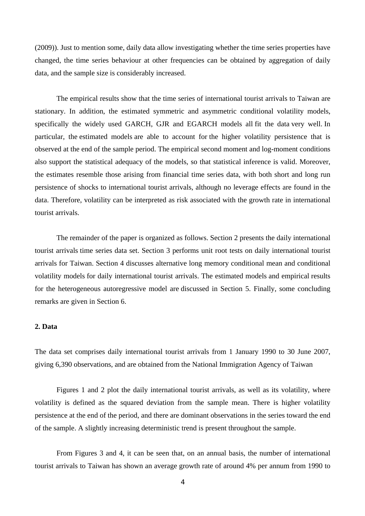(2009)). Just to mention some, daily data allow investigating whether the time series properties have changed, the time series behaviour at other frequencies can be obtained by aggregation of daily data, and the sample size is considerably increased.

The empirical results show that the time series of international tourist arrivals to Taiwan are stationary. In addition, the estimated symmetric and asymmetric conditional volatility models, specifically the widely used GARCH, GJR and EGARCH models all fit the data very well. In particular, the estimated models are able to account for the higher volatility persistence that is observed at the end of the sample period. The empirical second moment and log-moment conditions also support the statistical adequacy of the models, so that statistical inference is valid. Moreover, the estimates resemble those arising from financial time series data, with both short and long run persistence of shocks to international tourist arrivals, although no leverage effects are found in the data. Therefore, volatility can be interpreted as risk associated with the growth rate in international tourist arrivals.

The remainder of the paper is organized as follows. Section 2 presents the daily international tourist arrivals time series data set. Section 3 performs unit root tests on daily international tourist arrivals for Taiwan. Section 4 discusses alternative long memory conditional mean and conditional volatility models for daily international tourist arrivals. The estimated models and empirical results for the heterogeneous autoregressive model are discussed in Section 5. Finally, some concluding remarks are given in Section 6.

## **2. Data**

The data set comprises daily international tourist arrivals from 1 January 1990 to 30 June 2007, giving 6,390 observations, and are obtained from the National Immigration Agency of Taiwan

Figures 1 and 2 plot the daily international tourist arrivals, as well as its volatility, where volatility is defined as the squared deviation from the sample mean. There is higher volatility persistence at the end of the period, and there are dominant observations in the series toward the end of the sample. A slightly increasing deterministic trend is present throughout the sample.

From Figures 3 and 4, it can be seen that, on an annual basis, the number of international tourist arrivals to Taiwan has shown an average growth rate of around 4% per annum from 1990 to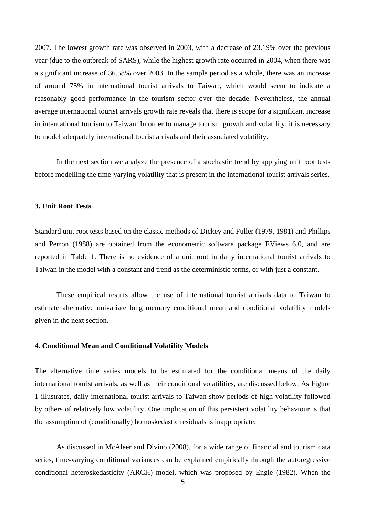2007. The lowest growth rate was observed in 2003, with a decrease of 23.19% over the previous year (due to the outbreak of SARS), while the highest growth rate occurred in 2004, when there was a significant increase of 36.58% over 2003. In the sample period as a whole, there was an increase of around 75% in international tourist arrivals to Taiwan, which would seem to indicate a reasonably good performance in the tourism sector over the decade. Nevertheless, the annual average international tourist arrivals growth rate reveals that there is scope for a significant increase in international tourism to Taiwan. In order to manage tourism growth and volatility, it is necessary to model adequately international tourist arrivals and their associated volatility.

In the next section we analyze the presence of a stochastic trend by applying unit root tests before modelling the time-varying volatility that is present in the international tourist arrivals series.

### **3. Unit Root Tests**

Standard unit root tests based on the classic methods of Dickey and Fuller (1979, 1981) and Phillips and Perron (1988) are obtained from the econometric software package EViews 6.0, and are reported in Table 1. There is no evidence of a unit root in daily international tourist arrivals to Taiwan in the model with a constant and trend as the deterministic terms, or with just a constant.

These empirical results allow the use of international tourist arrivals data to Taiwan to estimate alternative univariate long memory conditional mean and conditional volatility models given in the next section.

#### **4. Conditional Mean and Conditional Volatility Models**

The alternative time series models to be estimated for the conditional means of the daily international tourist arrivals, as well as their conditional volatilities, are discussed below. As Figure 1 illustrates, daily international tourist arrivals to Taiwan show periods of high volatility followed by others of relatively low volatility. One implication of this persistent volatility behaviour is that the assumption of (conditionally) homoskedastic residuals is inappropriate.

As discussed in McAleer and Divino (2008), for a wide range of financial and tourism data series, time-varying conditional variances can be explained empirically through the autoregressive conditional heteroskedasticity (ARCH) model, which was proposed by Engle (1982). When the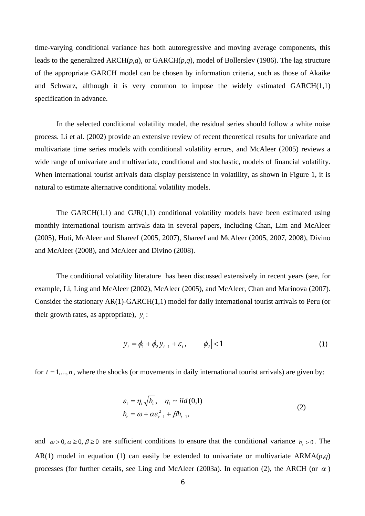time-varying conditional variance has both autoregressive and moving average components, this leads to the generalized ARCH(*p,q*), or GARCH(*p,q*), model of Bollerslev (1986). The lag structure of the appropriate GARCH model can be chosen by information criteria, such as those of Akaike and Schwarz, although it is very common to impose the widely estimated GARCH(1,1) specification in advance.

In the selected conditional volatility model, the residual series should follow a white noise process. Li et al. (2002) provide an extensive review of recent theoretical results for univariate and multivariate time series models with conditional volatility errors, and McAleer (2005) reviews a wide range of univariate and multivariate, conditional and stochastic, models of financial volatility. When international tourist arrivals data display persistence in volatility, as shown in Figure 1, it is natural to estimate alternative conditional volatility models.

The GARCH $(1,1)$  and GJR $(1,1)$  conditional volatility models have been estimated using monthly international tourism arrivals data in several papers, including Chan, Lim and McAleer (2005), Hoti, McAleer and Shareef (2005, 2007), Shareef and McAleer (2005, 2007, 2008), Divino and McAleer (2008), and McAleer and Divino (2008).

The conditional volatility literature has been discussed extensively in recent years (see, for example, Li, Ling and McAleer (2002), McAleer (2005), and McAleer, Chan and Marinova (2007). Consider the stationary AR(1)-GARCH(1,1) model for daily international tourist arrivals to Peru (or their growth rates, as appropriate),  $y_i$ :

$$
y_t = \phi_1 + \phi_2 y_{t-1} + \varepsilon_t, \qquad |\phi_2| < 1 \tag{1}
$$

for  $t = 1, \ldots, n$ , where the shocks (or movements in daily international tourist arrivals) are given by:

$$
\varepsilon_{t} = \eta_{t} \sqrt{h_{t}}, \quad \eta_{t} \sim \text{iid}(0,1)
$$
\n
$$
h_{t} = \omega + \alpha \varepsilon_{t-1}^{2} + \beta h_{t-1},
$$
\n(2)

and  $\omega > 0$ ,  $\alpha \ge 0$ ,  $\beta \ge 0$  are sufficient conditions to ensure that the conditional variance  $h > 0$ . The AR(1) model in equation (1) can easily be extended to univariate or multivariate  $ARMA(p,q)$ processes (for further details, see Ling and McAleer (2003a). In equation (2), the ARCH (or  $\alpha$ )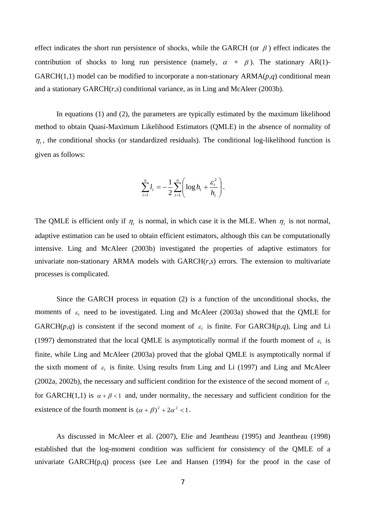effect indicates the short run persistence of shocks, while the GARCH (or  $\beta$ ) effect indicates the contribution of shocks to long run persistence (namely,  $\alpha + \beta$ ). The stationary AR(1)-GARCH(1,1) model can be modified to incorporate a non-stationary  $ARMA(p,q)$  conditional mean and a stationary GARCH(*r,s*) conditional variance, as in Ling and McAleer (2003b).

In equations (1) and (2), the parameters are typically estimated by the maximum likelihood method to obtain Quasi-Maximum Likelihood Estimators (QMLE) in the absence of normality of  $\eta_t$ , the conditional shocks (or standardized residuals). The conditional log-likelihood function is given as follows:

$$
\sum_{t=1}^{n} l_t = -\frac{1}{2} \sum_{t=1}^{n} \left( \log h_t + \frac{\varepsilon_t^2}{h_t} \right).
$$

The QMLE is efficient only if  $\eta_t$  is normal, in which case it is the MLE. When  $\eta_t$  is not normal, adaptive estimation can be used to obtain efficient estimators, although this can be computationally intensive. Ling and McAleer (2003b) investigated the properties of adaptive estimators for univariate non-stationary ARMA models with GARCH(*r,s*) errors. The extension to multivariate processes is complicated.

 Since the GARCH process in equation (2) is a function of the unconditional shocks, the moments of  $\varepsilon_t$  need to be investigated. Ling and McAleer (2003a) showed that the QMLE for GARCH( $p,q$ ) is consistent if the second moment of  $\varepsilon$  is finite. For GARCH( $p,q$ ), Ling and Li (1997) demonstrated that the local QMLE is asymptotically normal if the fourth moment of  $\varepsilon$ , is finite, while Ling and McAleer (2003a) proved that the global QMLE is asymptotically normal if the sixth moment of  $\varepsilon_t$  is finite. Using results from Ling and Li (1997) and Ling and McAleer (2002a, 2002b), the necessary and sufficient condition for the existence of the second moment of  $\varepsilon_t$ for GARCH(1,1) is  $\alpha + \beta < 1$  and, under normality, the necessary and sufficient condition for the existence of the fourth moment is  $(\alpha + \beta)^2 + 2\alpha^2 < 1$ .

As discussed in McAleer et al. (2007), Elie and Jeantheau (1995) and Jeantheau (1998) established that the log-moment condition was sufficient for consistency of the QMLE of a univariate  $GARCH(p,q)$  process (see Lee and Hansen  $(1994)$  for the proof in the case of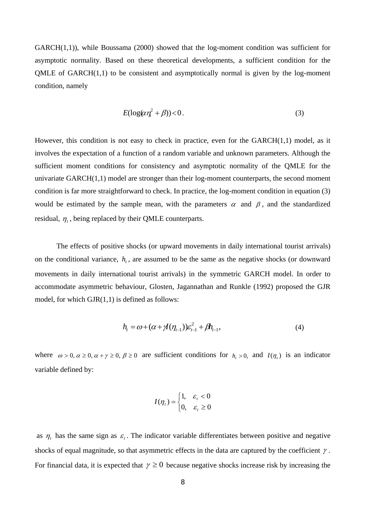$GARCH(1,1)$ , while Boussama (2000) showed that the log-moment condition was sufficient for asymptotic normality. Based on these theoretical developments, a sufficient condition for the QMLE of GARCH(1,1) to be consistent and asymptotically normal is given by the log-moment condition, namely

$$
E(\log(\alpha \eta_i^2 + \beta)) < 0. \tag{3}
$$

However, this condition is not easy to check in practice, even for the GARCH(1,1) model, as it involves the expectation of a function of a random variable and unknown parameters. Although the sufficient moment conditions for consistency and asymptotic normality of the QMLE for the univariate  $GARCH(1,1)$  model are stronger than their  $log$ -moment counterparts, the second moment condition is far more straightforward to check. In practice, the log-moment condition in equation (3) would be estimated by the sample mean, with the parameters  $\alpha$  and  $\beta$ , and the standardized residual,  $\eta_t$ , being replaced by their QMLE counterparts.

The effects of positive shocks (or upward movements in daily international tourist arrivals) on the conditional variance,  $h<sub>t</sub>$ , are assumed to be the same as the negative shocks (or downward movements in daily international tourist arrivals) in the symmetric GARCH model. In order to accommodate asymmetric behaviour, Glosten, Jagannathan and Runkle (1992) proposed the GJR model, for which  $GIR(1,1)$  is defined as follows:

$$
h_{t} = \omega + (\alpha + \mathcal{A}(\eta_{t-1}))\varepsilon_{t-1}^{2} + \beta h_{t-1},
$$
\n(4)

where  $\omega > 0$ ,  $\alpha \ge 0$ ,  $\alpha + \gamma \ge 0$ ,  $\beta \ge 0$  are sufficient conditions for  $h<sub>i</sub> > 0$ , and  $I(\eta<sub>i</sub>)$  is an indicator variable defined by:

$$
I(\eta_t) = \begin{cases} 1, & \varepsilon_t < 0 \\ 0, & \varepsilon_t \ge 0 \end{cases}
$$

as  $\eta_t$  has the same sign as  $\varepsilon_t$ . The indicator variable differentiates between positive and negative shocks of equal magnitude, so that asymmetric effects in the data are captured by the coefficient  $\gamma$ . For financial data, it is expected that  $\gamma \ge 0$  because negative shocks increase risk by increasing the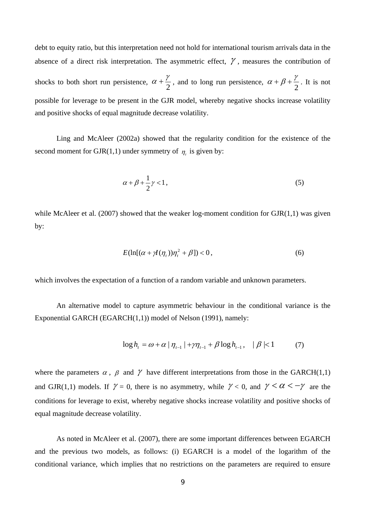debt to equity ratio, but this interpretation need not hold for international tourism arrivals data in the absence of a direct risk interpretation. The asymmetric effect,  $\gamma$ , measures the contribution of shocks to both short run persistence,  $\alpha + \frac{\gamma}{2}$ , and to long run persistence,  $\alpha + \beta + \frac{\gamma}{2}$ . It is not possible for leverage to be present in the GJR model, whereby negative shocks increase volatility and positive shocks of equal magnitude decrease volatility.

Ling and McAleer (2002a) showed that the regularity condition for the existence of the second moment for GJR(1,1) under symmetry of  $\eta_t$  is given by:

$$
\alpha + \beta + \frac{1}{2}\gamma < 1,\tag{5}
$$

while McAleer et al. (2007) showed that the weaker log-moment condition for  $GJR(1,1)$  was given by:

$$
E(\ln[(\alpha + \gamma I(\eta_t))\eta_t^2 + \beta]) < 0,\tag{6}
$$

which involves the expectation of a function of a random variable and unknown parameters.

An alternative model to capture asymmetric behaviour in the conditional variance is the Exponential GARCH (EGARCH(1,1)) model of Nelson (1991), namely:

$$
\log h_{t} = \omega + \alpha \mid \eta_{t-1} \mid + \gamma \eta_{t-1} + \beta \log h_{t-1}, \quad \beta \mid < 1 \tag{7}
$$

where the parameters  $\alpha$ ,  $\beta$  and  $\gamma$  have different interpretations from those in the GARCH(1,1) and GJR(1,1) models. If  $\gamma = 0$ , there is no asymmetry, while  $\gamma < 0$ , and  $\gamma < \alpha < -\gamma$  are the conditions for leverage to exist, whereby negative shocks increase volatility and positive shocks of equal magnitude decrease volatility.

As noted in McAleer et al. (2007), there are some important differences between EGARCH and the previous two models, as follows: (i) EGARCH is a model of the logarithm of the conditional variance, which implies that no restrictions on the parameters are required to ensure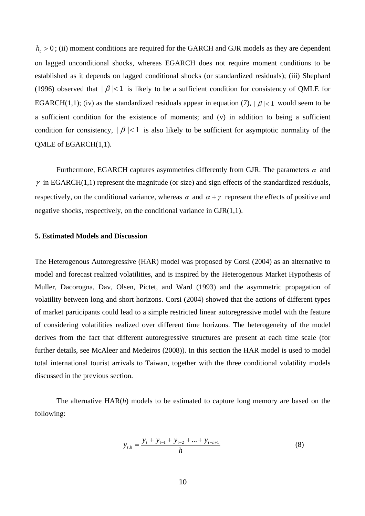$h_t > 0$ ; (ii) moment conditions are required for the GARCH and GJR models as they are dependent on lagged unconditional shocks, whereas EGARCH does not require moment conditions to be established as it depends on lagged conditional shocks (or standardized residuals); (iii) Shephard (1996) observed that  $|\beta|$ <1 is likely to be a sufficient condition for consistency of QMLE for EGARCH(1,1); (iv) as the standardized residuals appear in equation (7),  $\beta \leq 1$  would seem to be a sufficient condition for the existence of moments; and (v) in addition to being a sufficient condition for consistency,  $|\beta| < 1$  is also likely to be sufficient for asymptotic normality of the QMLE of EGARCH(1,1).

Furthermore, EGARCH captures asymmetries differently from GJR. The parameters  $\alpha$  and  $\gamma$  in EGARCH(1,1) represent the magnitude (or size) and sign effects of the standardized residuals, respectively, on the conditional variance, whereas  $\alpha$  and  $\alpha + \gamma$  represent the effects of positive and negative shocks, respectively, on the conditional variance in GJR(1,1).

### **5. Estimated Models and Discussion**

The Heterogenous Autoregressive (HAR) model was proposed by Corsi (2004) as an alternative to model and forecast realized volatilities, and is inspired by the Heterogenous Market Hypothesis of Muller, Dacorogna, Dav, Olsen, Pictet, and Ward (1993) and the asymmetric propagation of volatility between long and short horizons. Corsi (2004) showed that the actions of different types of market participants could lead to a simple restricted linear autoregressive model with the feature of considering volatilities realized over different time horizons. The heterogeneity of the model derives from the fact that different autoregressive structures are present at each time scale (for further details, see McAleer and Medeiros (2008)). In this section the HAR model is used to model total international tourist arrivals to Taiwan, together with the three conditional volatility models discussed in the previous section.

The alternative HAR(*h*) models to be estimated to capture long memory are based on the following:

$$
y_{t,h} = \frac{y_t + y_{t-1} + y_{t-2} + \dots + y_{t-h+1}}{h}
$$
 (8)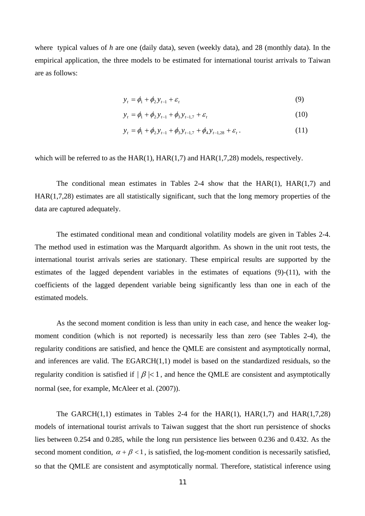where typical values of *h* are one (daily data), seven (weekly data), and 28 (monthly data). In the empirical application, the three models to be estimated for international tourist arrivals to Taiwan are as follows:

$$
y_t = \phi_1 + \phi_2 y_{t-1} + \varepsilon_t \tag{9}
$$

$$
y_t = \phi_1 + \phi_2 y_{t-1} + \phi_3 y_{t-1,7} + \varepsilon_t
$$
 (10)

$$
y_{t} = \phi_{1} + \phi_{2} y_{t-1} + \phi_{3} y_{t-1,7} + \phi_{4} y_{t-1,28} + \varepsilon_{t}.
$$
 (11)

which will be referred to as the  $HAR(1)$ ,  $HAR(1,7)$  and  $HAR(1,7,28)$  models, respectively.

The conditional mean estimates in Tables 2-4 show that the HAR(1), HAR(1,7) and HAR(1,7,28) estimates are all statistically significant, such that the long memory properties of the data are captured adequately.

The estimated conditional mean and conditional volatility models are given in Tables 2-4. The method used in estimation was the Marquardt algorithm. As shown in the unit root tests, the international tourist arrivals series are stationary. These empirical results are supported by the estimates of the lagged dependent variables in the estimates of equations (9)-(11), with the coefficients of the lagged dependent variable being significantly less than one in each of the estimated models.

As the second moment condition is less than unity in each case, and hence the weaker logmoment condition (which is not reported) is necessarily less than zero (see Tables 2-4), the regularity conditions are satisfied, and hence the QMLE are consistent and asymptotically normal, and inferences are valid. The EGARCH(1,1) model is based on the standardized residuals, so the regularity condition is satisfied if  $|\beta| < 1$ , and hence the QMLE are consistent and asymptotically normal (see, for example, McAleer et al. (2007)).

The GARCH $(1,1)$  estimates in Tables 2-4 for the HAR $(1)$ , HAR $(1,7)$  and HAR $(1,7,28)$ models of international tourist arrivals to Taiwan suggest that the short run persistence of shocks lies between 0.254 and 0.285, while the long run persistence lies between 0.236 and 0.432. As the second moment condition,  $\alpha + \beta < 1$ , is satisfied, the log-moment condition is necessarily satisfied, so that the QMLE are consistent and asymptotically normal. Therefore, statistical inference using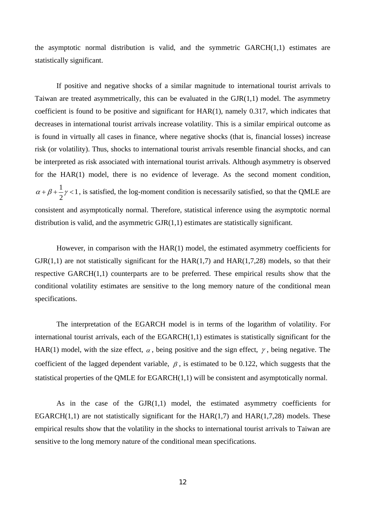the asymptotic normal distribution is valid, and the symmetric GARCH(1,1) estimates are statistically significant.

If positive and negative shocks of a similar magnitude to international tourist arrivals to Taiwan are treated asymmetrically, this can be evaluated in the  $GJR(1,1)$  model. The asymmetry coefficient is found to be positive and significant for HAR(1), namely 0.317, which indicates that decreases in international tourist arrivals increase volatility. This is a similar empirical outcome as is found in virtually all cases in finance, where negative shocks (that is, financial losses) increase risk (or volatility). Thus, shocks to international tourist arrivals resemble financial shocks, and can be interpreted as risk associated with international tourist arrivals. Although asymmetry is observed for the HAR(1) model, there is no evidence of leverage. As the second moment condition, 1 2  $\alpha + \beta + \frac{1}{2}\gamma < 1$ , is satisfied, the log-moment condition is necessarily satisfied, so that the QMLE are consistent and asymptotically normal. Therefore, statistical inference using the asymptotic normal distribution is valid, and the asymmetric GJR(1,1) estimates are statistically significant.

However, in comparison with the HAR(1) model, the estimated asymmetry coefficients for  $GJR(1,1)$  are not statistically significant for the  $HAR(1,7)$  and  $HAR(1,7,28)$  models, so that their respective GARCH(1,1) counterparts are to be preferred. These empirical results show that the conditional volatility estimates are sensitive to the long memory nature of the conditional mean specifications.

The interpretation of the EGARCH model is in terms of the logarithm of volatility. For international tourist arrivals, each of the  $EGARCH(1,1)$  estimates is statistically significant for the HAR(1) model, with the size effect,  $\alpha$ , being positive and the sign effect,  $\gamma$ , being negative. The coefficient of the lagged dependent variable,  $\beta$ , is estimated to be 0.122, which suggests that the statistical properties of the QMLE for EGARCH(1,1) will be consistent and asymptotically normal.

As in the case of the GJR(1,1) model, the estimated asymmetry coefficients for EGARCH $(1,1)$  are not statistically significant for the HAR $(1,7)$  and HAR $(1,7,28)$  models. These empirical results show that the volatility in the shocks to international tourist arrivals to Taiwan are sensitive to the long memory nature of the conditional mean specifications.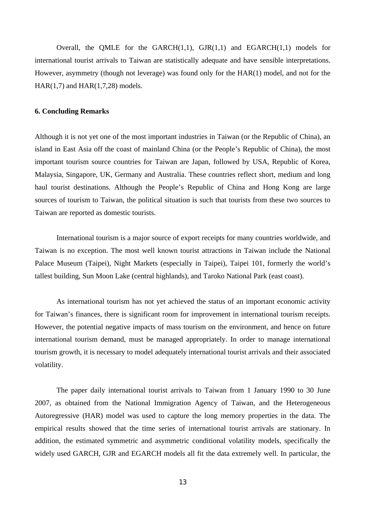Overall, the QMLE for the GARCH $(1,1)$ , GJR $(1,1)$  and EGARCH $(1,1)$  models for international tourist arrivals to Taiwan are statistically adequate and have sensible interpretations. However, asymmetry (though not leverage) was found only for the HAR(1) model, and not for the HAR(1,7) and HAR(1,7,28) models.

## **6. Concluding Remarks**

Although it is not yet one of the most important industries in Taiwan (or the Republic of China), an island in East Asia off the coast of mainland China (or the People's Republic of China), the most important tourism source countries for Taiwan are Japan, followed by USA, Republic of Korea, Malaysia, Singapore, UK, Germany and Australia. These countries reflect short, medium and long haul tourist destinations. Although the People's Republic of China and Hong Kong are large sources of tourism to Taiwan, the political situation is such that tourists from these two sources to Taiwan are reported as domestic tourists.

International tourism is a major source of export receipts for many countries worldwide, and Taiwan is no exception. The most well known tourist attractions in Taiwan include the National Palace Museum (Taipei), Night Markets (especially in Taipei), Taipei 101, formerly the world's tallest building, Sun Moon Lake (central highlands), and Taroko National Park (east coast).

As international tourism has not yet achieved the status of an important economic activity for Taiwan's finances, there is significant room for improvement in international tourism receipts. However, the potential negative impacts of mass tourism on the environment, and hence on future international tourism demand, must be managed appropriately. In order to manage international tourism growth, it is necessary to model adequately international tourist arrivals and their associated volatility.

The paper daily international tourist arrivals to Taiwan from 1 January 1990 to 30 June 2007, as obtained from the National Immigration Agency of Taiwan, and the Heterogeneous Autoregressive (HAR) model was used to capture the long memory properties in the data. The empirical results showed that the time series of international tourist arrivals are stationary. In addition, the estimated symmetric and asymmetric conditional volatility models, specifically the widely used GARCH, GJR and EGARCH models all fit the data extremely well. In particular, the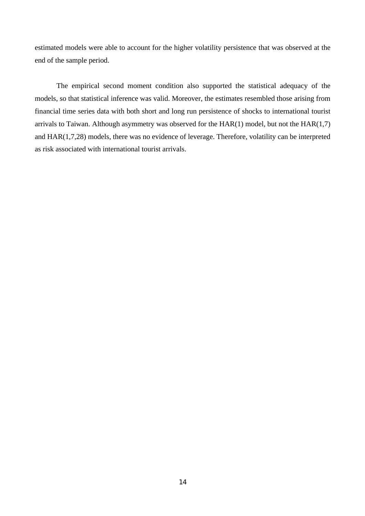estimated models were able to account for the higher volatility persistence that was observed at the end of the sample period.

The empirical second moment condition also supported the statistical adequacy of the models, so that statistical inference was valid. Moreover, the estimates resembled those arising from financial time series data with both short and long run persistence of shocks to international tourist arrivals to Taiwan. Although asymmetry was observed for the  $HAR(1)$  model, but not the  $HAR(1,7)$ and HAR(1,7,28) models, there was no evidence of leverage. Therefore, volatility can be interpreted as risk associated with international tourist arrivals.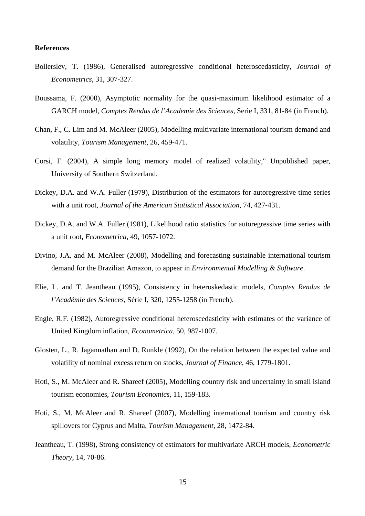## **References**

- Bollerslev, T. (1986), Generalised autoregressive conditional heteroscedasticity, *Journal of Econometrics*, 31, 307-327.
- Boussama, F. (2000), Asymptotic normality for the quasi-maximum likelihood estimator of a GARCH model, *Comptes Rendus de l'Academie des Sciences,* Serie I, 331, 81-84 (in French).
- Chan, F., C. Lim and M. McAleer (2005), Modelling multivariate international tourism demand and volatility, *Tourism Management*, 26, 459-471.
- Corsi, F. (2004), A simple long memory model of realized volatility," Unpublished paper, University of Southern Switzerland.
- Dickey, D.A. and W.A. Fuller (1979), Distribution of the estimators for autoregressive time series with a unit root, *Journal of the American Statistical Association*, 74, 427-431.
- Dickey, D.A. and W.A. Fuller (1981), Likelihood ratio statistics for autoregressive time series with a unit root**,** *Econometrica*, 49, 1057-1072.
- Divino, J.A. and M. McAleer (2008), Modelling and forecasting sustainable international tourism demand for the Brazilian Amazon, to appear in *Environmental Modelling & Software*.
- Elie, L. and T. Jeantheau (1995), Consistency in heteroskedastic models, *Comptes Rendus de l'Académie des Sciences,* Série I, 320, 1255-1258 (in French).
- Engle, R.F. (1982), Autoregressive conditional heteroscedasticity with estimates of the variance of United Kingdom inflation, *Econometrica,* 50, 987-1007.
- Glosten, L., R. Jagannathan and D. Runkle (1992), On the relation between the expected value and volatility of nominal excess return on stocks, *Journal of Finance,* 46, 1779-1801.
- Hoti, S., M. McAleer and R. Shareef (2005), Modelling country risk and uncertainty in small island tourism economies, *Tourism Economics*, 11, 159-183.
- Hoti, S., M. McAleer and R. Shareef (2007), Modelling international tourism and country risk spillovers for Cyprus and Malta, *Tourism Management*, 28, 1472-84.
- Jeantheau, T. (1998), Strong consistency of estimators for multivariate ARCH models, *Econometric Theory*, 14, 70-86.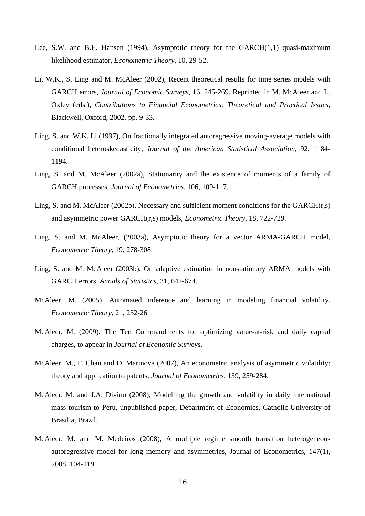- Lee, S.W. and B.E. Hansen (1994), Asymptotic theory for the GARCH(1,1) quasi-maximum likelihood estimator, *Econometric Theory*, 10, 29-52.
- Li, W.K., S. Ling and M. McAleer (2002), Recent theoretical results for time series models with GARCH errors, *Journal of Economic Surveys*, 16, 245-269. Reprinted in M. McAleer and L. Oxley (eds.), *Contributions to Financial Econometrics: Theoretical and Practical Issues*, Blackwell, Oxford, 2002, pp. 9-33.
- Ling, S. and W.K. Li (1997), On fractionally integrated autoregressive moving-average models with conditional heteroskedasticity, *Journal of the American Statistical Association*, 92, 1184- 1194.
- Ling, S. and M. McAleer (2002a), Stationarity and the existence of moments of a family of GARCH processes, *Journal of Econometrics*, 106, 109-117.
- Ling, S. and M. McAleer (2002b), Necessary and sufficient moment conditions for the GARCH(r,s) and asymmetric power GARCH(r,s) models, *Econometric Theory*, 18, 722-729.
- Ling, S. and M. McAleer, (2003a), Asymptotic theory for a vector ARMA-GARCH model, *Econometric Theory*, 19, 278-308.
- Ling, S. and M. McAleer (2003b), On adaptive estimation in nonstationary ARMA models with GARCH errors, *Annals of Statistics*, 31, 642-674.
- McAleer, M. (2005), Automated inference and learning in modeling financial volatility, *Econometric Theory*, 21, 232-261.
- McAleer, M. (2009), The Ten Commandments for optimizing value-at-risk and daily capital charges, to appear in *Journal of Economic Surveys*.
- McAleer, M., F. Chan and D. Marinova (2007), An econometric analysis of asymmetric volatility: theory and application to patents, *Journal of Econometrics*, 139, 259-284.
- McAleer, M. and J.A. Divino (2008), Modelling the growth and volatility in daily international mass tourism to Peru, unpublished paper, Department of Economics, Catholic University of Brasilia, Brazil.
- McAleer, M. and M. Medeiros (2008), A multiple regime smooth transition heterogeneous autoregressive model for long memory and asymmetries, Journal of Econometrics, 147(1), 2008, 104-119.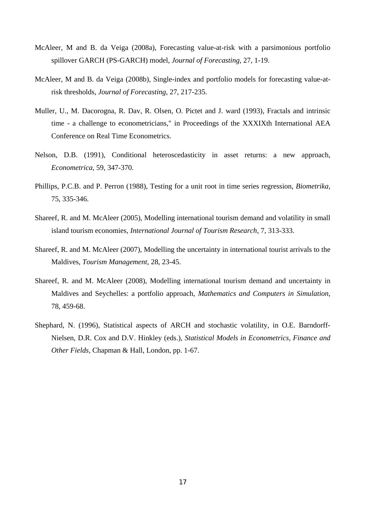- McAleer, M and B. da Veiga (2008a), Forecasting value-at-risk with a parsimonious portfolio spillover GARCH (PS-GARCH) model, *Journal of Forecasting*, 27, 1-19.
- McAleer, M and B. da Veiga (2008b), Single-index and portfolio models for forecasting value-atrisk thresholds, *Journal of Forecasting*, 27, 217-235.
- Muller, U., M. Dacorogna, R. Dav, R. Olsen, O. Pictet and J. ward (1993), Fractals and intrinsic time - a challenge to econometricians," in Proceedings of the XXXIXth International AEA Conference on Real Time Econometrics.
- Nelson, D.B. (1991), Conditional heteroscedasticity in asset returns: a new approach, *Econometrica*, 59, 347-370.
- Phillips, P.C.B. and P. Perron (1988), Testing for a unit root in time series regression, *Biometrika*, 75, 335-346.
- Shareef, R. and M. McAleer (2005), Modelling international tourism demand and volatility in small island tourism economies, *International Journal of Tourism Research*, 7, 313-333.
- Shareef, R. and M. McAleer (2007), Modelling the uncertainty in international tourist arrivals to the Maldives, *Tourism Management*, 28, 23-45.
- Shareef, R. and M. McAleer (2008), Modelling international tourism demand and uncertainty in Maldives and Seychelles: a portfolio approach, *Mathematics and Computers in Simulation*, 78, 459-68.
- Shephard, N. (1996), Statistical aspects of ARCH and stochastic volatility, in O.E. Barndorff-Nielsen, D.R. Cox and D.V. Hinkley (eds.), *Statistical Models in Econometrics, Finance and Other Fields,* Chapman & Hall, London, pp. 1-67.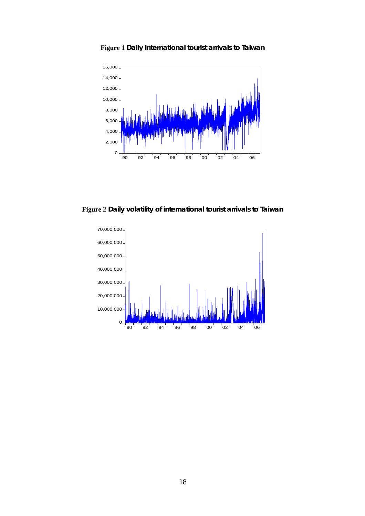

**Figure 1 Daily international tourist arrivals to Taiwan** 

**Figure 2 Daily volatility of international tourist arrivals to Taiwan** 

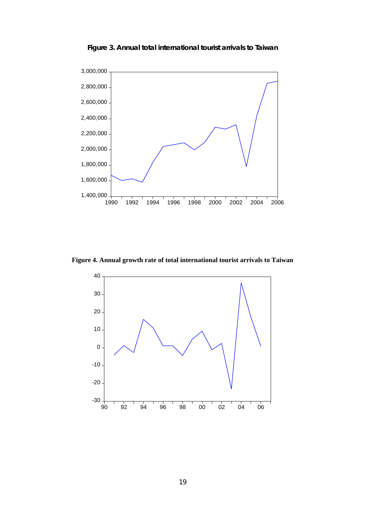

**Figure 3. Annual total international tourist arrivals to Taiwan** 

**Figure 4. Annual growth rate of total international tourist arrivals to Taiwan**

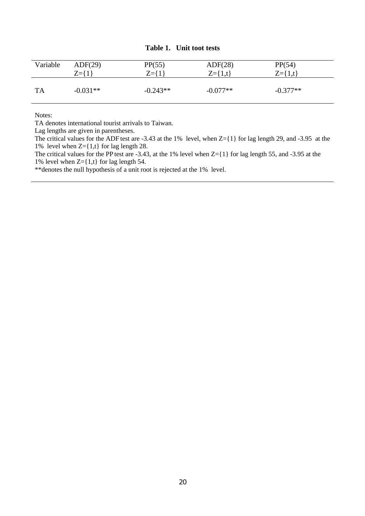## **Table 1. Unit toot tests**

| Variable  | ADF(29)     | PP(55)      | ADF(28)       | PP(54)        |
|-----------|-------------|-------------|---------------|---------------|
|           | $Z = \{1\}$ | $Z = \{1\}$ | $Z = \{1,t\}$ | $Z = \{1,t\}$ |
| <b>TA</b> | $-0.031**$  | $-0.243**$  | $-0.077**$    | $-0.377**$    |

Notes:

TA denotes international tourist arrivals to Taiwan.

Lag lengths are given in parentheses.

The critical values for the ADF test are -3.43 at the 1% level, when Z={1} for lag length 29, and -3.95 at the 1% level when  $Z = \{1,t\}$  for lag length 28.

The critical values for the PP test are -3.43, at the 1% level when Z={1} for lag length 55, and -3.95 at the 1% level when  $Z = \{1,t\}$  for lag length 54.

\*\*denotes the null hypothesis of a unit root is rejected at the 1% level.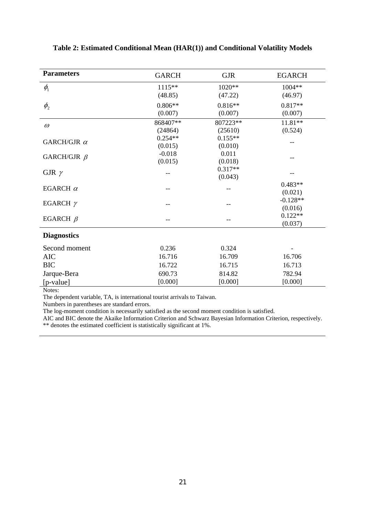| <b>Parameters</b>              | <b>GARCH</b> | <b>GJR</b> | <b>EGARCH</b> |
|--------------------------------|--------------|------------|---------------|
| $\phi_{\scriptscriptstyle\!1}$ | $1115**$     | 1020**     | 1004**        |
|                                | (48.85)      | (47.22)    | (46.97)       |
| $\phi_{2}$                     | $0.806**$    | $0.816**$  | $0.817**$     |
|                                | (0.007)      | (0.007)    | (0.007)       |
| $\omega$                       | 868407**     | 807223**   | 11.81**       |
|                                | (24864)      | (25610)    | (0.524)       |
| GARCH/GJR $\alpha$             | $0.254**$    | $0.155**$  |               |
|                                | (0.015)      | (0.010)    |               |
| GARCH/GJR $\beta$              | $-0.018$     | 0.011      |               |
|                                | (0.015)      | (0.018)    |               |
| GJR $\gamma$                   |              | $0.317**$  |               |
|                                |              | (0.043)    |               |
| EGARCH $\alpha$                |              |            | $0.483**$     |
|                                |              |            | (0.021)       |
| EGARCH $\gamma$                |              |            | $-0.128**$    |
|                                |              |            | (0.016)       |
| EGARCH $\beta$                 |              |            | $0.122**$     |
|                                |              |            | (0.037)       |
| <b>Diagnostics</b>             |              |            |               |
| Second moment                  | 0.236        | 0.324      |               |
| <b>AIC</b>                     | 16.716       | 16.709     | 16.706        |
| <b>BIC</b>                     | 16.722       | 16.715     | 16.713        |
| Jarque-Bera                    | 690.73       | 814.82     | 782.94        |
| [p-value]                      | [0.000]      | [0.000]    | [0.000]       |

## **Table 2: Estimated Conditional Mean (HAR(1)) and Conditional Volatility Models**

Notes:

The dependent variable, TA, is international tourist arrivals to Taiwan.

Numbers in parentheses are standard errors.

The log-moment condition is necessarily satisfied as the second moment condition is satisfied.

AIC and BIC denote the Akaike Information Criterion and Schwarz Bayesian Information Criterion, respectively.

\*\* denotes the estimated coefficient is statistically significant at 1%.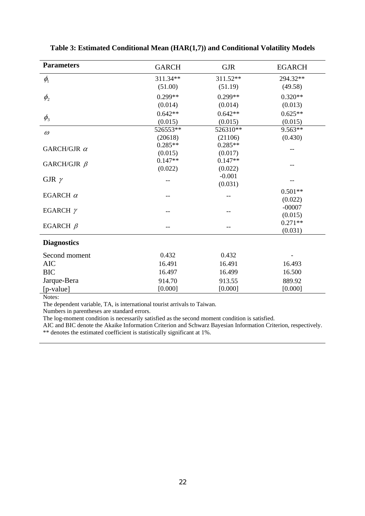| <b>Parameters</b>  | <b>GARCH</b> | <b>GJR</b> | <b>EGARCH</b> |
|--------------------|--------------|------------|---------------|
| $\phi_{1}$         | 311.34**     | 311.52**   | 294.32**      |
|                    | (51.00)      | (51.19)    | (49.58)       |
| $\phi_{2}$         | $0.299**$    | $0.299**$  | $0.320**$     |
|                    | (0.014)      | (0.014)    | (0.013)       |
|                    | $0.642**$    | $0.642**$  | $0.625**$     |
| $\phi_{3}$         | (0.015)      | (0.015)    | (0.015)       |
| $\omega$           | 526553**     | 526310**   | $9.563**$     |
|                    | (20618)      | (21106)    | (0.430)       |
| GARCH/GJR $\alpha$ | $0.285**$    | $0.285**$  |               |
|                    | (0.015)      | (0.017)    |               |
| GARCH/GJR $\beta$  | $0.147**$    | $0.147**$  |               |
|                    | (0.022)      | (0.022)    |               |
| GJR $\gamma$       |              | $-0.001$   |               |
|                    |              | (0.031)    |               |
| EGARCH $\alpha$    |              |            | $0.501**$     |
|                    |              |            | (0.022)       |
| EGARCH $\gamma$    |              |            | $-00007$      |
|                    |              |            | (0.015)       |
| EGARCH $\beta$     |              |            | $0.271**$     |
|                    |              |            | (0.031)       |
| <b>Diagnostics</b> |              |            |               |
| Second moment      | 0.432        | 0.432      |               |
| <b>AIC</b>         | 16.491       | 16.491     | 16.493        |
| <b>BIC</b>         | 16.497       | 16.499     | 16.500        |
| Jarque-Bera        | 914.70       | 913.55     | 889.92        |
| [p-value]          | [0.000]      | [0.000]    | [0.000]       |

**Table 3: Estimated Conditional Mean (HAR(1,7)) and Conditional Volatility Models** 

Notes:

The dependent variable, TA, is international tourist arrivals to Taiwan.

Numbers in parentheses are standard errors.

The log-moment condition is necessarily satisfied as the second moment condition is satisfied.

AIC and BIC denote the Akaike Information Criterion and Schwarz Bayesian Information Criterion, respectively.

\*\* denotes the estimated coefficient is statistically significant at 1%.